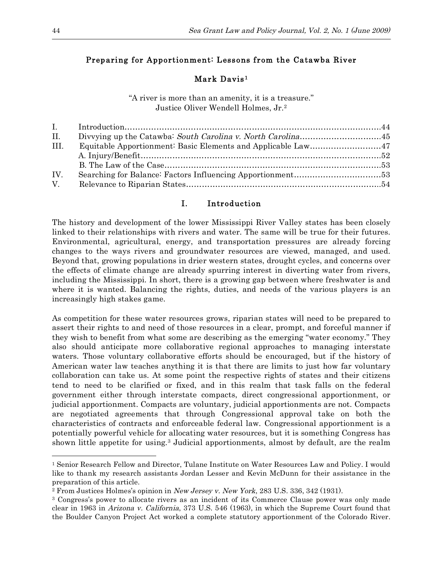# Preparing for Apportionment: Lessons from the Catawba River

## Mark Davis<sup>1</sup>

"A river is more than an amenity, it is a treasure." Justice Oliver Wendell Holmes, Jr.2

| II.  |  |
|------|--|
| III. |  |
|      |  |
|      |  |
| IV.  |  |
| V.   |  |
|      |  |

# I. Introduction

The history and development of the lower Mississippi River Valley states has been closely linked to their relationships with rivers and water. The same will be true for their futures. Environmental, agricultural, energy, and transportation pressures are already forcing changes to the ways rivers and groundwater resources are viewed, managed, and used. Beyond that, growing populations in drier western states, drought cycles, and concerns over the effects of climate change are already spurring interest in diverting water from rivers, including the Mississippi. In short, there is a growing gap between where freshwater is and where it is wanted. Balancing the rights, duties, and needs of the various players is an increasingly high stakes game.

As competition for these water resources grows, riparian states will need to be prepared to assert their rights to and need of those resources in a clear, prompt, and forceful manner if they wish to benefit from what some are describing as the emerging "water economy." They also should anticipate more collaborative regional approaches to managing interstate waters. Those voluntary collaborative efforts should be encouraged, but if the history of American water law teaches anything it is that there are limits to just how far voluntary collaboration can take us. At some point the respective rights of states and their citizens tend to need to be clarified or fixed, and in this realm that task falls on the federal government either through interstate compacts, direct congressional apportionment, or judicial apportionment. Compacts are voluntary, judicial apportionments are not. Compacts are negotiated agreements that through Congressional approval take on both the characteristics of contracts and enforceable federal law. Congressional apportionment is a potentially powerful vehicle for allocating water resources, but it is something Congress has shown little appetite for using.3 Judicial apportionments, almost by default, are the realm

<sup>1</sup> Senior Research Fellow and Director, Tulane Institute on Water Resources Law and Policy. I would like to thank my research assistants Jordan Lesser and Kevin McDunn for their assistance in the preparation of this article.

<sup>2</sup> From Justices Holmes's opinion in New Jersey v. New York, 283 U.S. 336, 342 (1931).

<sup>3</sup> Congress's power to allocate rivers as an incident of its Commerce Clause power was only made clear in 1963 in Arizona v. California, 373 U.S. 546 (1963), in which the Supreme Court found that the Boulder Canyon Project Act worked a complete statutory apportionment of the Colorado River.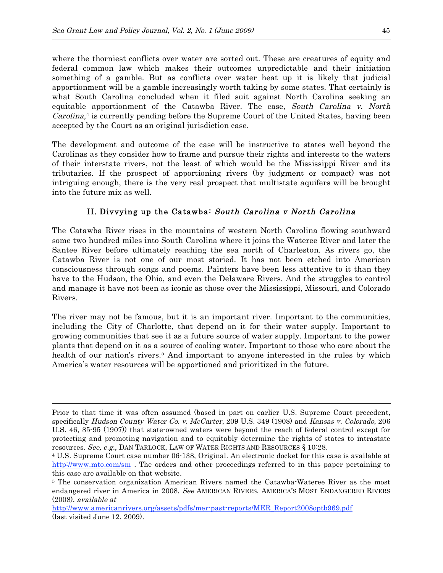where the thorniest conflicts over water are sorted out. These are creatures of equity and federal common law which makes their outcomes unpredictable and their initiation something of a gamble. But as conflicts over water heat up it is likely that judicial apportionment will be a gamble increasingly worth taking by some states. That certainly is what South Carolina concluded when it filed suit against North Carolina seeking an equitable apportionment of the Catawba River. The case, South Carolina v. North Carolina,<sup>4</sup> is currently pending before the Supreme Court of the United States, having been accepted by the Court as an original jurisdiction case.

The development and outcome of the case will be instructive to states well beyond the Carolinas as they consider how to frame and pursue their rights and interests to the waters of their interstate rivers, not the least of which would be the Mississippi River and its tributaries. If the prospect of apportioning rivers (by judgment or compact) was not intriguing enough, there is the very real prospect that multistate aquifers will be brought into the future mix as well.

# II. Divyying up the Catawba: South Carolina v North Carolina

The Catawba River rises in the mountains of western North Carolina flowing southward some two hundred miles into South Carolina where it joins the Wateree River and later the Santee River before ultimately reaching the sea north of Charleston. As rivers go, the Catawba River is not one of our most storied. It has not been etched into American consciousness through songs and poems. Painters have been less attentive to it than they have to the Hudson, the Ohio, and even the Delaware Rivers. And the struggles to control and manage it have not been as iconic as those over the Mississippi, Missouri, and Colorado Rivers.

The river may not be famous, but it is an important river. Important to the communities, including the City of Charlotte, that depend on it for their water supply. Important to growing communities that see it as a future source of water supply. Important to the power plants that depend on it as a source of cooling water. Important to those who care about the health of our nation's rivers.<sup>5</sup> And important to anyone interested in the rules by which America's water resources will be apportioned and prioritized in the future.

Prior to that time it was often assumed (based in part on earlier U.S. Supreme Court precedent, specifically Hudson County Water Co. v. McCarter, 209 U.S. 349 (1908) and Kansas v. Colorado, 206 U.S. 46, 85-95 (1907)) that state-owned waters were beyond the reach of federal control except for protecting and promoting navigation and to equitably determine the rights of states to intrastate resources. See, e.g., DAN TARLOCK, LAW OF WATER RIGHTS AND RESOURCES § 10:28.

<sup>4</sup> U.S. Supreme Court case number 06-138, Original. An electronic docket for this case is available at http://www.mto.com/sm. The orders and other proceedings referred to in this paper pertaining to this case are available on that website.

<sup>5</sup> The conservation organization American Rivers named the Catawba-Wateree River as the most endangered river in America in 2008. See AMERICAN RIVERS, AMERICA'S MOST ENDANGERED RIVERS (2008), available at

http://www.americanrivers.org/assets/pdfs/mer-past-reports/MER\_Report2008optb969.pdf (last visited June 12, 2009).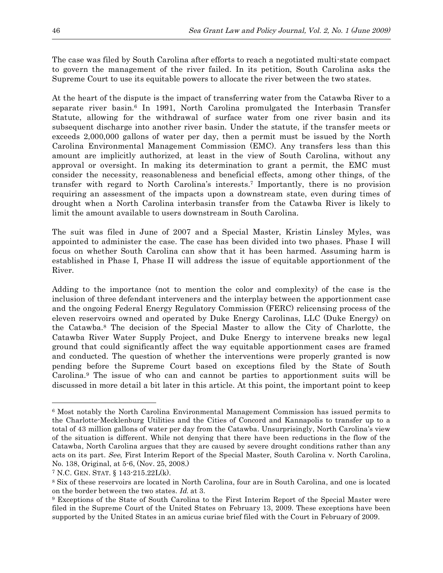The case was filed by South Carolina after efforts to reach a negotiated multi-state compact to govern the management of the river failed. In its petition, South Carolina asks the Supreme Court to use its equitable powers to allocate the river between the two states.

At the heart of the dispute is the impact of transferring water from the Catawba River to a separate river basin. <sup>6</sup> In 1991, North Carolina promulgated the Interbasin Transfer Statute, allowing for the withdrawal of surface water from one river basin and its subsequent discharge into another river basin. Under the statute, if the transfer meets or exceeds 2,000,000 gallons of water per day, then a permit must be issued by the North Carolina Environmental Management Commission (EMC). Any transfers less than this amount are implicitly authorized, at least in the view of South Carolina, without any approval or oversight. In making its determination to grant a permit, the EMC must consider the necessity, reasonableness and beneficial effects, among other things, of the transfer with regard to North Carolina's interests. <sup>7</sup> Importantly, there is no provision requiring an assessment of the impacts upon a downstream state, even during times of drought when a North Carolina interbasin transfer from the Catawba River is likely to limit the amount available to users downstream in South Carolina.

The suit was filed in June of 2007 and a Special Master, Kristin Linsley Myles, was appointed to administer the case. The case has been divided into two phases. Phase I will focus on whether South Carolina can show that it has been harmed. Assuming harm is established in Phase I, Phase II will address the issue of equitable apportionment of the River.

Adding to the importance (not to mention the color and complexity) of the case is the inclusion of three defendant interveners and the interplay between the apportionment case and the ongoing Federal Energy Regulatory Commission (FERC) relicensing process of the eleven reservoirs owned and operated by Duke Energy Carolinas, LLC (Duke Energy) on the Catawba.8 The decision of the Special Master to allow the City of Charlotte, the Catawba River Water Supply Project, and Duke Energy to intervene breaks new legal ground that could significantly affect the way equitable apportionment cases are framed and conducted. The question of whether the interventions were properly granted is now pending before the Supreme Court based on exceptions filed by the State of South Carolina.9 The issue of who can and cannot be parties to apportionment suits will be discussed in more detail a bit later in this article. At this point, the important point to keep

<sup>6</sup> Most notably the North Carolina Environmental Management Commission has issued permits to the Charlotte-Mecklenburg Utilities and the Cities of Concord and Kannapolis to transfer up to a total of 43 million gallons of water per day from the Catawba. Unsurprisingly, North Carolina's view of the situation is different. While not denying that there have been reductions in the flow of the Catawba, North Carolina argues that they are caused by severe drought conditions rather than any acts on its part. See, First Interim Report of the Special Master, South Carolina v. North Carolina, No. 138, Original, at 5-6, (Nov. 25, 2008.)

<sup>7</sup> N.C. GEN. STAT. § 143-215.22L(k).

<sup>8</sup> Six of these reservoirs are located in North Carolina, four are in South Carolina, and one is located on the border between the two states. Id. at 3.

<sup>9</sup> Exceptions of the State of South Carolina to the First Interim Report of the Special Master were filed in the Supreme Court of the United States on February 13, 2009. These exceptions have been supported by the United States in an amicus curiae brief filed with the Court in February of 2009.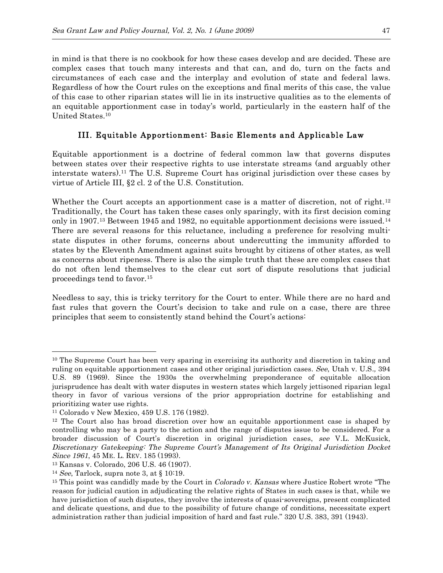in mind is that there is no cookbook for how these cases develop and are decided. These are complex cases that touch many interests and that can, and do, turn on the facts and circumstances of each case and the interplay and evolution of state and federal laws. Regardless of how the Court rules on the exceptions and final merits of this case, the value of this case to other riparian states will lie in its instructive qualities as to the elements of an equitable apportionment case in today's world, particularly in the eastern half of the United States. 10

### III. Equitable Apportionment: Basic Elements and Applicable Law

Equitable apportionment is a doctrine of federal common law that governs disputes between states over their respective rights to use interstate streams (and arguably other interstate waters).11 The U.S. Supreme Court has original jurisdiction over these cases by virtue of Article III, §2 cl. 2 of the U.S. Constitution.

Whether the Court accepts an apportionment case is a matter of discretion, not of right.<sup>12</sup> Traditionally, the Court has taken these cases only sparingly, with its first decision coming only in 1907.13 Between 1945 and 1982, no equitable apportionment decisions were issued.14 There are several reasons for this reluctance, including a preference for resolving multistate disputes in other forums, concerns about undercutting the immunity afforded to states by the Eleventh Amendment against suits brought by citizens of other states, as well as concerns about ripeness. There is also the simple truth that these are complex cases that do not often lend themselves to the clear cut sort of dispute resolutions that judicial proceedings tend to favor.15

Needless to say, this is tricky territory for the Court to enter. While there are no hard and fast rules that govern the Court's decision to take and rule on a case, there are three principles that seem to consistently stand behind the Court's actions:

<sup>&</sup>lt;sup>10</sup> The Supreme Court has been very sparing in exercising its authority and discretion in taking and ruling on equitable apportionment cases and other original jurisdiction cases. See, Utah v. U.S., 394 U.S. 89 (1969). Since the 1930s the overwhelming preponderance of equitable allocation jurisprudence has dealt with water disputes in western states which largely jettisoned riparian legal theory in favor of various versions of the prior appropriation doctrine for establishing and prioritizing water use rights.

<sup>11</sup> Colorado v New Mexico, 459 U.S. 176 (1982).

<sup>&</sup>lt;sup>12</sup> The Court also has broad discretion over how an equitable apportionment case is shaped by controlling who may be a party to the action and the range of disputes issue to be considered. For a broader discussion of Court's discretion in original jurisdiction cases, see V.L. McKusick, Discretionary Gatekeeping: The Supreme Court's Management of Its Original Jurisdiction Docket Since 1961, 45 ME. L. REV. 185 (1993).

<sup>13</sup> Kansas v. Colorado, 206 U.S. 46 (1907).

<sup>&</sup>lt;sup>14</sup> See, Tarlock, supra note 3, at  $\S 10:19$ .

<sup>&</sup>lt;sup>15</sup> This point was candidly made by the Court in *Colorado v. Kansas* where Justice Robert wrote "The reason for judicial caution in adjudicating the relative rights of States in such cases is that, while we have jurisdiction of such disputes, they involve the interests of quasi-sovereigns, present complicated and delicate questions, and due to the possibility of future change of conditions, necessitate expert administration rather than judicial imposition of hard and fast rule." 320 U.S. 383, 391 (1943).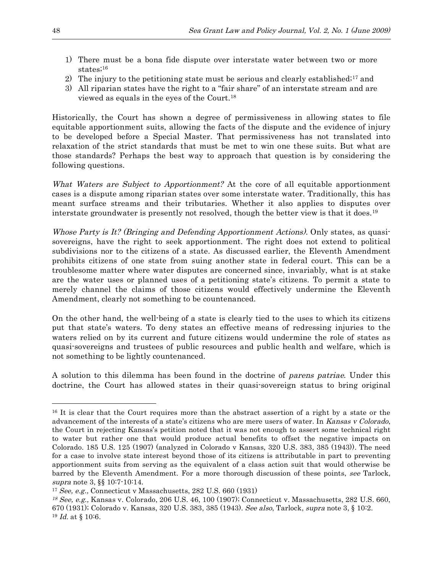- 1) There must be a bona fide dispute over interstate water between two or more states;<sup>16</sup>
- 2) The injury to the petitioning state must be serious and clearly established;<sup>17</sup> and
- 3) All riparian states have the right to a "fair share" of an interstate stream and are viewed as equals in the eyes of the Court.18

Historically, the Court has shown a degree of permissiveness in allowing states to file equitable apportionment suits, allowing the facts of the dispute and the evidence of injury to be developed before a Special Master. That permissiveness has not translated into relaxation of the strict standards that must be met to win one these suits. But what are those standards? Perhaps the best way to approach that question is by considering the following questions.

What Waters are Subject to Apportionment? At the core of all equitable apportionment cases is a dispute among riparian states over some interstate water. Traditionally, this has meant surface streams and their tributaries. Whether it also applies to disputes over interstate groundwater is presently not resolved, though the better view is that it does.19

Whose Party is It? (Bringing and Defending Apportionment Actions). Only states, as quasisovereigns, have the right to seek apportionment. The right does not extend to political subdivisions nor to the citizens of a state. As discussed earlier, the Eleventh Amendment prohibits citizens of one state from suing another state in federal court. This can be a troublesome matter where water disputes are concerned since, invariably, what is at stake are the water uses or planned uses of a petitioning state's citizens. To permit a state to merely channel the claims of those citizens would effectively undermine the Eleventh Amendment, clearly not something to be countenanced.

On the other hand, the well-being of a state is clearly tied to the uses to which its citizens put that state's waters. To deny states an effective means of redressing injuries to the waters relied on by its current and future citizens would undermine the role of states as quasi-sovereigns and trustees of public resources and public health and welfare, which is not something to be lightly countenanced.

A solution to this dilemma has been found in the doctrine of parens patriae. Under this doctrine, the Court has allowed states in their quasi-sovereign status to bring original

<sup>&</sup>lt;sup>16</sup> It is clear that the Court requires more than the abstract assertion of a right by a state or the advancement of the interests of a state's citizens who are mere users of water. In Kansas v Colorado, the Court in rejecting Kansas's petition noted that it was not enough to assert some technical right to water but rather one that would produce actual benefits to offset the negative impacts on Colorado. 185 U.S. 125 (1907) (analyzed in Colorado v Kansas, 320 U.S. 383, 385 (1943)). The need for a case to involve state interest beyond those of its citizens is attributable in part to preventing apportionment suits from serving as the equivalent of a class action suit that would otherwise be barred by the Eleventh Amendment. For a more thorough discussion of these points, see Tarlock, supra note 3, §§ 10:7-10:14.

<sup>17</sup> See, e.g., Connecticut v Massachusetts, 282 U.S. 660 (1931)

<sup>18</sup> See, e.g., Kansas v. Colorado, 206 U.S. 46, 100 (1907); Connecticut v. Massachusetts, 282 U.S. 660, 670 (1931); Colorado v. Kansas, 320 U.S. 383, 385 (1943). See also, Tarlock, supra note 3, § 10:2.  $19$  *Id.* at § 10:6.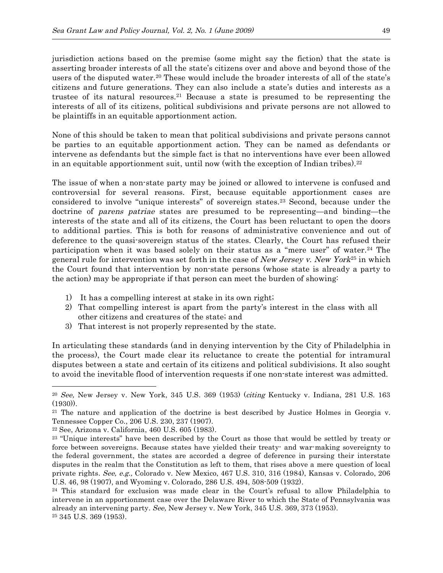jurisdiction actions based on the premise (some might say the fiction) that the state is asserting broader interests of all the state's citizens over and above and beyond those of the users of the disputed water.20 These would include the broader interests of all of the state's citizens and future generations. They can also include a state's duties and interests as a trustee of its natural resources.<sup>21</sup> Because a state is presumed to be representing the interests of all of its citizens, political subdivisions and private persons are not allowed to be plaintiffs in an equitable apportionment action.

None of this should be taken to mean that political subdivisions and private persons cannot be parties to an equitable apportionment action. They can be named as defendants or intervene as defendants but the simple fact is that no interventions have ever been allowed in an equitable apportionment suit, until now (with the exception of Indian tribes).<sup>22</sup>

The issue of when a non-state party may be joined or allowed to intervene is confused and controversial for several reasons. First, because equitable apportionment cases are considered to involve "unique interests" of sovereign states.23 Second, because under the doctrine of parens patriae states are presumed to be representing—and binding—the interests of the state and all of its citizens, the Court has been reluctant to open the doors to additional parties. This is both for reasons of administrative convenience and out of deference to the quasi-sovereign status of the states. Clearly, the Court has refused their participation when it was based solely on their status as a "mere user" of water.<sup>24</sup> The general rule for intervention was set forth in the case of New Jersey v. New York<sup>25</sup> in which the Court found that intervention by non-state persons (whose state is already a party to the action) may be appropriate if that person can meet the burden of showing:

- 1) It has a compelling interest at stake in its own right;
- 2) That compelling interest is apart from the party's interest in the class with all other citizens and creatures of the state; and
- 3) That interest is not properly represented by the state.

In articulating these standards (and in denying intervention by the City of Philadelphia in the process), the Court made clear its reluctance to create the potential for intramural disputes between a state and certain of its citizens and political subdivisions. It also sought to avoid the inevitable flood of intervention requests if one non-state interest was admitted.

 $20$  See, New Jersey v. New York, 345 U.S. 369 (1953) (citing Kentucky v. Indiana, 281 U.S. 163 (1930)).

<sup>&</sup>lt;sup>21</sup> The nature and application of the doctrine is best described by Justice Holmes in Georgia v. Tennessee Copper Co., 206 U.S. 230, 237 (1907).

<sup>22</sup> See, Arizona v. California, 460 U.S. 605 (1983).

<sup>&</sup>lt;sup>23</sup> "Unique interests" have been described by the Court as those that would be settled by treaty or force between sovereigns. Because states have yielded their treaty- and war-making sovereignty to the federal government, the states are accorded a degree of deference in pursing their interstate disputes in the realm that the Constitution as left to them, that rises above a mere question of local private rights. See, e.g., Colorado v. New Mexico, 467 U.S. 310, 316 (1984), Kansas v. Colorado, 206 U.S. 46, 98 (1907), and Wyoming v. Colorado, 286 U.S. 494, 508-509 (1932).

<sup>24</sup> This standard for exclusion was made clear in the Court's refusal to allow Philadelphia to intervene in an apportionment case over the Delaware River to which the State of Pennsylvania was already an intervening party. See, New Jersey v. New York, 345 U.S. 369, 373 (1953). <sup>25</sup> 345 U.S. 369 (1953).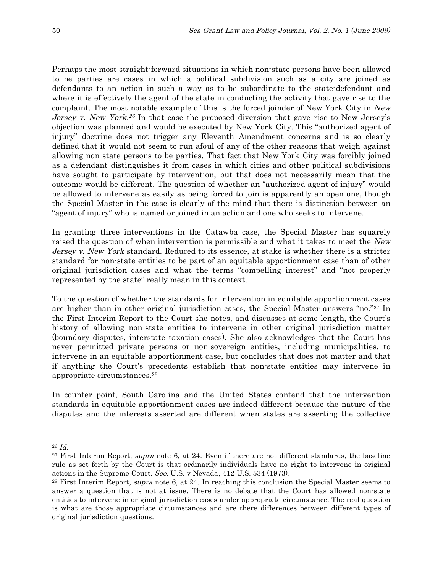Perhaps the most straight-forward situations in which non-state persons have been allowed to be parties are cases in which a political subdivision such as a city are joined as defendants to an action in such a way as to be subordinate to the state-defendant and where it is effectively the agent of the state in conducting the activity that gave rise to the complaint. The most notable example of this is the forced joinder of New York City in New Jersey v. New York.<sup>26</sup> In that case the proposed diversion that gave rise to New Jersey's objection was planned and would be executed by New York City. This "authorized agent of injury" doctrine does not trigger any Eleventh Amendment concerns and is so clearly defined that it would not seem to run afoul of any of the other reasons that weigh against allowing non-state persons to be parties. That fact that New York City was forcibly joined as a defendant distinguishes it from cases in which cities and other political subdivisions have sought to participate by intervention, but that does not necessarily mean that the outcome would be different. The question of whether an "authorized agent of injury" would be allowed to intervene as easily as being forced to join is apparently an open one, though the Special Master in the case is clearly of the mind that there is distinction between an "agent of injury" who is named or joined in an action and one who seeks to intervene.

In granting three interventions in the Catawba case, the Special Master has squarely raised the question of when intervention is permissible and what it takes to meet the New Jersey v. New York standard. Reduced to its essence, at stake is whether there is a stricter standard for non-state entities to be part of an equitable apportionment case than of other original jurisdiction cases and what the terms "compelling interest" and "not properly represented by the state" really mean in this context.

To the question of whether the standards for intervention in equitable apportionment cases are higher than in other original jurisdiction cases, the Special Master answers "no."27 In the First Interim Report to the Court she notes, and discusses at some length, the Court's history of allowing non-state entities to intervene in other original jurisdiction matter (boundary disputes, interstate taxation cases). She also acknowledges that the Court has never permitted private persons or non-sovereign entities, including municipalities, to intervene in an equitable apportionment case, but concludes that does not matter and that if anything the Court's precedents establish that non-state entities may intervene in appropriate circumstances.28

In counter point, South Carolina and the United States contend that the intervention standards in equitable apportionment cases are indeed different because the nature of the disputes and the interests asserted are different when states are asserting the collective

 $26$  *Id.* 

<sup>&</sup>lt;sup>27</sup> First Interim Report, *supra* note 6, at 24. Even if there are not different standards, the baseline rule as set forth by the Court is that ordinarily individuals have no right to intervene in original actions in the Supreme Court. See, U.S. v Nevada, 412 U.S. 534 (1973).

<sup>&</sup>lt;sup>28</sup> First Interim Report, *supra* note 6, at 24. In reaching this conclusion the Special Master seems to answer a question that is not at issue. There is no debate that the Court has allowed non-state entities to intervene in original jurisdiction cases under appropriate circumstance. The real question is what are those appropriate circumstances and are there differences between different types of original jurisdiction questions.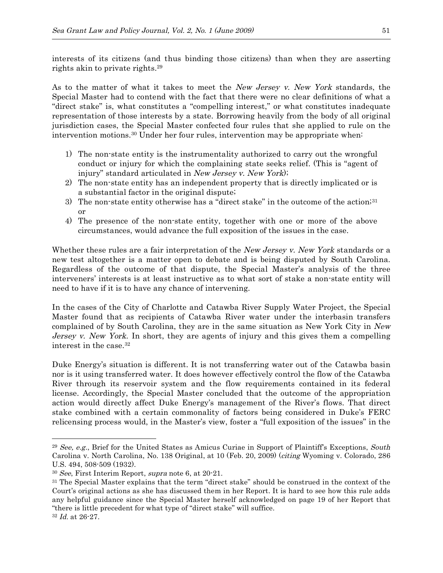interests of its citizens (and thus binding those citizens) than when they are asserting rights akin to private rights. 29

As to the matter of what it takes to meet the New Jersey v. New York standards, the Special Master had to contend with the fact that there were no clear definitions of what a "direct stake" is, what constitutes a "compelling interest," or what constitutes inadequate representation of those interests by a state. Borrowing heavily from the body of all original jurisdiction cases, the Special Master confected four rules that she applied to rule on the intervention motions.30 Under her four rules, intervention may be appropriate when:

- 1) The non-state entity is the instrumentality authorized to carry out the wrongful conduct or injury for which the complaining state seeks relief. (This is "agent of injury" standard articulated in New Jersey v. New York);
- 2) The non-state entity has an independent property that is directly implicated or is a substantial factor in the original dispute;
- 3) The non-state entity otherwise has a "direct stake" in the outcome of the action;  $31$ or
- 4) The presence of the non-state entity, together with one or more of the above circumstances, would advance the full exposition of the issues in the case.

Whether these rules are a fair interpretation of the New Jersey v. New York standards or a new test altogether is a matter open to debate and is being disputed by South Carolina. Regardless of the outcome of that dispute, the Special Master's analysis of the three interveners' interests is at least instructive as to what sort of stake a non-state entity will need to have if it is to have any chance of intervening.

In the cases of the City of Charlotte and Catawba River Supply Water Project, the Special Master found that as recipients of Catawba River water under the interbasin transfers complained of by South Carolina, they are in the same situation as New York City in New Jersey v. New York. In short, they are agents of injury and this gives them a compelling interest in the case.32

Duke Energy's situation is different. It is not transferring water out of the Catawba basin nor is it using transferred water. It does however effectively control the flow of the Catawba River through its reservoir system and the flow requirements contained in its federal license. Accordingly, the Special Master concluded that the outcome of the appropriation action would directly affect Duke Energy's management of the River's flows. That direct stake combined with a certain commonality of factors being considered in Duke's FERC relicensing process would, in the Master's view, foster a "full exposition of the issues" in the

 $29$  See, e.g., Brief for the United States as Amicus Curiae in Support of Plaintiff's Exceptions, South Carolina v. North Carolina, No. 138 Original, at 10 (Feb. 20, 2009) (citing Wyoming v. Colorado, 286 U.S. 494, 508-509 (1932).

<sup>30</sup> See, First Interim Report, supra note 6, at 20-21.

<sup>31</sup> The Special Master explains that the term "direct stake" should be construed in the context of the Court's original actions as she has discussed them in her Report. It is hard to see how this rule adds any helpful guidance since the Special Master herself acknowledged on page 19 of her Report that "there is little precedent for what type of "direct stake" will suffice.

<sup>32</sup> Id. at 26-27.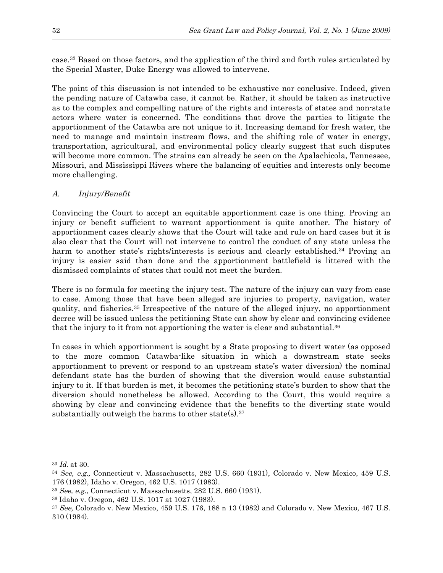case.33 Based on those factors, and the application of the third and forth rules articulated by the Special Master, Duke Energy was allowed to intervene.

The point of this discussion is not intended to be exhaustive nor conclusive. Indeed, given the pending nature of Catawba case, it cannot be. Rather, it should be taken as instructive as to the complex and compelling nature of the rights and interests of states and non-state actors where water is concerned. The conditions that drove the parties to litigate the apportionment of the Catawba are not unique to it. Increasing demand for fresh water, the need to manage and maintain instream flows, and the shifting role of water in energy, transportation, agricultural, and environmental policy clearly suggest that such disputes will become more common. The strains can already be seen on the Apalachicola, Tennessee, Missouri, and Mississippi Rivers where the balancing of equities and interests only become more challenging.

## A. Injury/Benefit

Convincing the Court to accept an equitable apportionment case is one thing. Proving an injury or benefit sufficient to warrant apportionment is quite another. The history of apportionment cases clearly shows that the Court will take and rule on hard cases but it is also clear that the Court will not intervene to control the conduct of any state unless the harm to another state's rights/interests is serious and clearly established.<sup>34</sup> Proving an injury is easier said than done and the apportionment battlefield is littered with the dismissed complaints of states that could not meet the burden.

There is no formula for meeting the injury test. The nature of the injury can vary from case to case. Among those that have been alleged are injuries to property, navigation, water quality, and fisheries.35 Irrespective of the nature of the alleged injury, no apportionment decree will be issued unless the petitioning State can show by clear and convincing evidence that the injury to it from not apportioning the water is clear and substantial.36

In cases in which apportionment is sought by a State proposing to divert water (as opposed to the more common Catawba-like situation in which a downstream state seeks apportionment to prevent or respond to an upstream state's water diversion) the nominal defendant state has the burden of showing that the diversion would cause substantial injury to it. If that burden is met, it becomes the petitioning state's burden to show that the diversion should nonetheless be allowed. According to the Court, this would require a showing by clear and convincing evidence that the benefits to the diverting state would substantially outweigh the harms to other state(s).<sup>37</sup>

 $33$  *Id.* at 30.

<sup>34</sup> See, e.g., Connecticut v. Massachusetts, 282 U.S. 660 (1931), Colorado v. New Mexico, 459 U.S. 176 (1982), Idaho v. Oregon, 462 U.S. 1017 (1983).

 $35$  See, e.g., Connecticut v. Massachusetts, 282 U.S. 660 (1931).

<sup>36</sup> Idaho v. Oregon, 462 U.S. 1017 at 1027 (1983).

<sup>37</sup> See, Colorado v. New Mexico, 459 U.S. 176, 188 n 13 (1982) and Colorado v. New Mexico, 467 U.S. 310 (1984).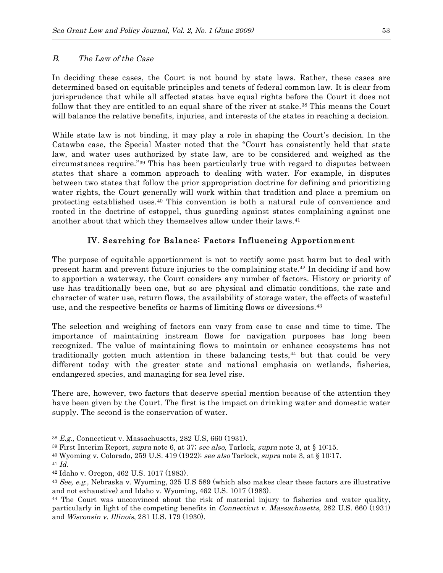#### B. The Law of the Case

In deciding these cases, the Court is not bound by state laws. Rather, these cases are determined based on equitable principles and tenets of federal common law. It is clear from jurisprudence that while all affected states have equal rights before the Court it does not follow that they are entitled to an equal share of the river at stake.<sup>38</sup> This means the Court will balance the relative benefits, injuries, and interests of the states in reaching a decision.

While state law is not binding, it may play a role in shaping the Court's decision. In the Catawba case, the Special Master noted that the "Court has consistently held that state law, and water uses authorized by state law, are to be considered and weighed as the circumstances require."39 This has been particularly true with regard to disputes between states that share a common approach to dealing with water. For example, in disputes between two states that follow the prior appropriation doctrine for defining and prioritizing water rights, the Court generally will work within that tradition and place a premium on protecting established uses.40 This convention is both a natural rule of convenience and rooted in the doctrine of estoppel, thus guarding against states complaining against one another about that which they themselves allow under their laws.<sup>41</sup>

### IV. Searching for Balance: Factors Influencing Appor tionment

The purpose of equitable apportionment is not to rectify some past harm but to deal with present harm and prevent future injuries to the complaining state. <sup>42</sup> In deciding if and how to apportion a waterway, the Court considers any number of factors. History or priority of use has traditionally been one, but so are physical and climatic conditions, the rate and character of water use, return flows, the availability of storage water, the effects of wasteful use, and the respective benefits or harms of limiting flows or diversions.43

The selection and weighing of factors can vary from case to case and time to time. The importance of maintaining instream flows for navigation purposes has long been recognized. The value of maintaining flows to maintain or enhance ecosystems has not traditionally gotten much attention in these balancing tests,44 but that could be very different today with the greater state and national emphasis on wetlands, fisheries, endangered species, and managing for sea level rise.

There are, however, two factors that deserve special mention because of the attention they have been given by the Court. The first is the impact on drinking water and domestic water supply. The second is the conservation of water.

<sup>38</sup> E.g., Connecticut v. Massachusetts, 282 U.S, 660 (1931).

<sup>&</sup>lt;sup>39</sup> First Interim Report, *supra* note 6, at 37; see also, Tarlock, *supra* note 3, at § 10:15.

<sup>&</sup>lt;sup>40</sup> Wyoming v. Colorado, 259 U.S. 419 (1922); see also Tarlock, supra note 3, at § 10:17.

 $41$  *Id.* 

<sup>42</sup> Idaho v. Oregon, 462 U.S. 1017 (1983).

<sup>43</sup> See, e.g., Nebraska v. Wyoming, 325 U.S 589 (which also makes clear these factors are illustrative and not exhaustive) and Idaho v. Wyoming, 462 U.S. 1017 (1983).

<sup>44</sup> The Court was unconvinced about the risk of material injury to fisheries and water quality, particularly in light of the competing benefits in Connecticut v. Massachusetts, 282 U.S. 660 (1931) and Wisconsin v. Illinois, 281 U.S. 179 (1930).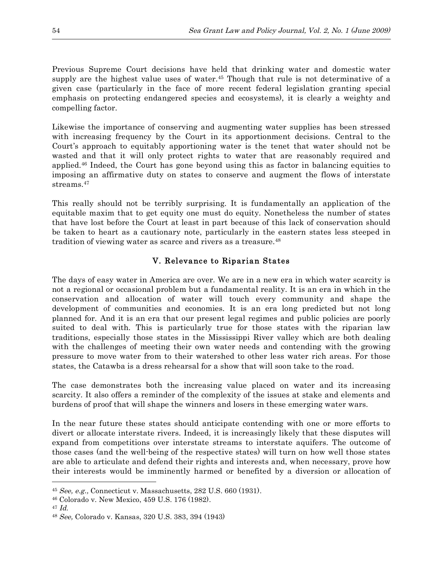Previous Supreme Court decisions have held that drinking water and domestic water supply are the highest value uses of water.<sup>45</sup> Though that rule is not determinative of a given case (particularly in the face of more recent federal legislation granting special emphasis on protecting endangered species and ecosystems), it is clearly a weighty and compelling factor.

Likewise the importance of conserving and augmenting water supplies has been stressed with increasing frequency by the Court in its apportionment decisions. Central to the Court's approach to equitably apportioning water is the tenet that water should not be wasted and that it will only protect rights to water that are reasonably required and applied.46 Indeed, the Court has gone beyond using this as factor in balancing equities to imposing an affirmative duty on states to conserve and augment the flows of interstate streams. 47

This really should not be terribly surprising. It is fundamentally an application of the equitable maxim that to get equity one must do equity. Nonetheless the number of states that have lost before the Court at least in part because of this lack of conservation should be taken to heart as a cautionary note, particularly in the eastern states less steeped in tradition of viewing water as scarce and rivers as a treasure.<sup>48</sup>

## V. Relevance to Riparian States

The days of easy water in America are over. We are in a new era in which water scarcity is not a regional or occasional problem but a fundamental reality. It is an era in which in the conservation and allocation of water will touch every community and shape the development of communities and economies. It is an era long predicted but not long planned for. And it is an era that our present legal regimes and public policies are poorly suited to deal with. This is particularly true for those states with the riparian law traditions, especially those states in the Mississippi River valley which are both dealing with the challenges of meeting their own water needs and contending with the growing pressure to move water from to their watershed to other less water rich areas. For those states, the Catawba is a dress rehearsal for a show that will soon take to the road.

The case demonstrates both the increasing value placed on water and its increasing scarcity. It also offers a reminder of the complexity of the issues at stake and elements and burdens of proof that will shape the winners and losers in these emerging water wars.

In the near future these states should anticipate contending with one or more efforts to divert or allocate interstate rivers. Indeed, it is increasingly likely that these disputes will expand from competitions over interstate streams to interstate aquifers. The outcome of those cases (and the well-being of the respective states) will turn on how well those states are able to articulate and defend their rights and interests and, when necessary, prove how their interests would be imminently harmed or benefited by a diversion or allocation of

 $45 \text{ See.}$  e.g., Connecticut v. Massachusetts, 282 U.S. 660 (1931).

<sup>46</sup> Colorado v. New Mexico, 459 U.S. 176 (1982).

 $47$  *Id.* 

<sup>48</sup> See, Colorado v. Kansas, 320 U.S. 383, 394 (1943)